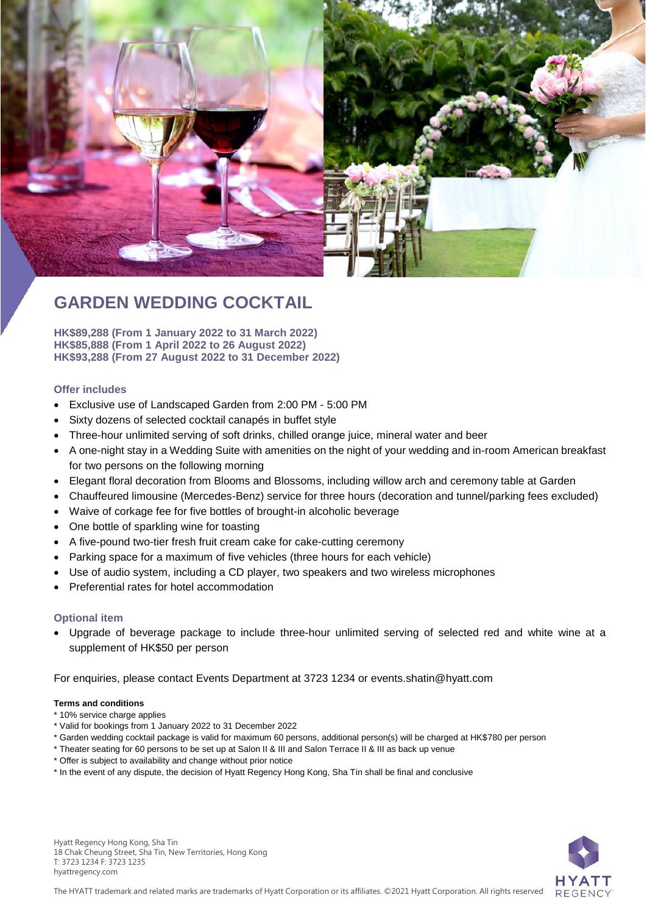

# **GARDEN WEDDING COCKTAIL**

**HK\$89,288 (From 1 January 2022 to 31 March 2022) HK\$85,888 (From 1 April 2022 to 26 August 2022) HK\$93,288 (From 27 August 2022 to 31 December 2022)**

### **Offer includes**

- Exclusive use of Landscaped Garden from 2:00 PM 5:00 PM
- Sixty dozens of selected cocktail canapés in buffet style
- Three-hour unlimited serving of soft drinks, chilled orange juice, mineral water and beer
- A one-night stay in a Wedding Suite with amenities on the night of your wedding and in-room American breakfast for two persons on the following morning
- Elegant floral decoration from Blooms and Blossoms, including willow arch and ceremony table at Garden
- Chauffeured limousine (Mercedes-Benz) service for three hours (decoration and tunnel/parking fees excluded)
- Waive of corkage fee for five bottles of brought-in alcoholic beverage
- One bottle of sparkling wine for toasting
- A five-pound two-tier fresh fruit cream cake for cake-cutting ceremony
- Parking space for a maximum of five vehicles (three hours for each vehicle)
- Use of audio system, including a CD player, two speakers and two wireless microphones
- Preferential rates for hotel accommodation

### **Optional item**

 Upgrade of beverage package to include three-hour unlimited serving of selected red and white wine at a supplement of HK\$50 per person

For enquiries, please contact Events Department at 3723 1234 or events.shatin@hyatt.com

#### **Terms and conditions**

- \* 10% service charge applies
- \* Valid for bookings from 1 January 2022 to 31 December 2022
- \* Garden wedding cocktail package is valid for maximum 60 persons, additional person(s) will be charged at HK\$780 per person
- \* Theater seating for 60 persons to be set up at Salon II & III and Salon Terrace II & III as back up venue
- \* Offer is subject to availability and change without prior notice
- \* In the event of any dispute, the decision of Hyatt Regency Hong Kong, Sha Tin shall be final and conclusive

Hyatt Regency Hong Kong, Sha Tin 18 Chak Cheung Street, Sha Tin, New Territories, Hong Kong T: 3723 1234 F: 3723 1235 hyattregency.com